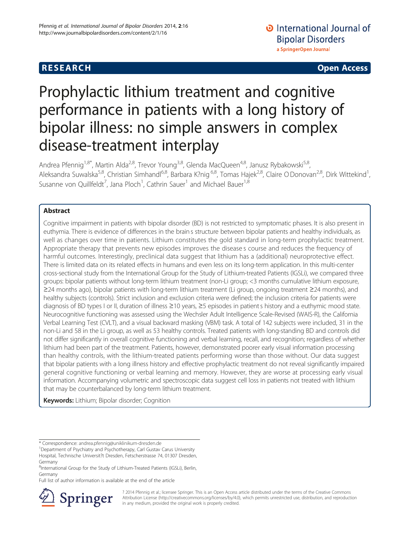## **RESEARCH CHEAR CHEAR CHEAR CHEAR CHEAR CHEAR CHEAR CHEAR CHEAR CHEAR CHEAR CHEAR CHEAR CHEAR CHEAR CHEAR CHEAR**

# Prophylactic lithium treatment and cognitive performance in patients with a long history of bipolar illness: no simple answers in complex disease-treatment interplay

Andrea Pfennig<sup>1,8\*</sup>, Martin Alda<sup>2,8</sup>, Trevor Young<sup>3,8</sup>, Glenda MacQueen<sup>4,8</sup>, Janusz Rybakowski<sup>5,8</sup>, Aleksandra Suwalska<sup>5,8</sup>, Christian Simhandl<sup>6,8</sup>, Barbara K?nig <sup>6,8</sup>, Tomas Hajek<sup>2,8</sup>, Claire O Donovan<sup>2,8</sup>, Dirk Wittekind<sup>1</sup>, , Susanne von Quillfeldt<sup>7</sup>, Jana Ploch<sup>1</sup>, Cathrin Sauer<sup>1</sup> and Michael Bauer<sup>1,8</sup>

## Abstract

Cognitive impairment in patients with bipolar disorder (BD) is not restricted to symptomatic phases. It is also present in euthymia. There is evidence of differences in the brain s structure between bipolar patients and healthy individuals, as well as changes over time in patients. Lithium constitutes the gold standard in long-term prophylactic treatment. Appropriate therapy that prevents new episodes improves the disease s course and reduces the frequency of harmful outcomes. Interestingly, preclinical data suggest that lithium has a (additional) neuroprotective effect. There is limited data on its related effects in humans and even less on its long-term application. In this multi-center cross-sectional study from the International Group for the Study of Lithium-treated Patients (IGSLi), we compared three groups: bipolar patients without long-term lithium treatment (non-Li group; <3 months cumulative lithium exposure, ≥24 months ago), bipolar patients with long-term lithium treatment (Li group, ongoing treatment ≥24 months), and healthy subjects (controls). Strict inclusion and exclusion criteria were defined; the inclusion criteria for patients were diagnosis of BD types I or II, duration of illness ≥10 years, ≥5 episodes in patients history and a euthymic mood state. Neurocognitive functioning was assessed using the Wechsler Adult Intelligence Scale-Revised (WAIS-R), the California Verbal Learning Test (CVLT), and a visual backward masking (VBM) task. A total of 142 subjects were included, 31 in the non-Li and 58 in the Li group, as well as 53 healthy controls. Treated patients with long-standing BD and controls did not differ significantly in overall cognitive functioning and verbal learning, recall, and recognition; regardless of whether lithium had been part of the treatment. Patients, however, demonstrated poorer early visual information processing than healthy controls, with the lithium-treated patients performing worse than those without. Our data suggest that bipolar patients with a long illness history and effective prophylactic treatment do not reveal significantly impaired general cognitive functioning or verbal learning and memory. However, they are worse at processing early visual information. Accompanying volumetric and spectroscopic data suggest cell loss in patients not treated with lithium that may be counterbalanced by long-term lithium treatment.

Keywords: Lithium; Bipolar disorder; Cognition

Full list of author information is available at the end of the article



? 2014 Pfennig et al.; licensee Springer. This is an Open Access article distributed under the terms of the Creative Commons Attribution License [\(http://creativecommons.org/licenses/by/4.0\)](http://creativecommons.org/licenses/by/4.0), which permits unrestricted use, distribution, and reproduction in any medium, provided the original work is properly credited.

<sup>\*</sup> Correspondence: [andrea.pfennig@uniklinikum-dresden.de](mailto:andrea.pfennig@uniklinikum-dresden.de) <sup>1</sup>

<sup>&</sup>lt;sup>1</sup>Department of Psychiatry and Psychotherapy, Carl Gustav Carus University Hospital, Technische Universit?t Dresden, Fetscherstrasse 74, 01307 Dresden,

**Germany** <sup>8</sup>International Group for the Study of Lithium-Treated Patients (IGSLi), Berlin,

Germany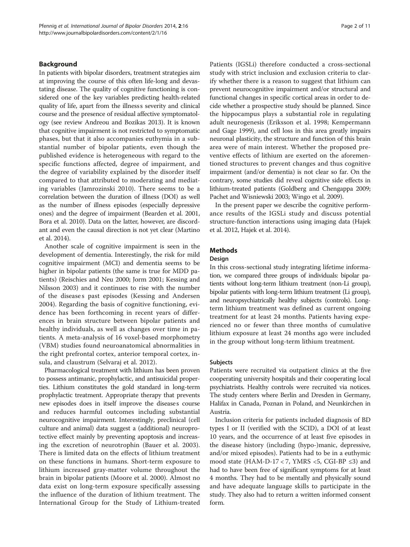## Background

In patients with bipolar disorders, treatment strategies aim at improving the course of this often life-long and devastating disease. The quality of cognitive functioning is considered one of the key variables predicting health-related quality of life, apart from the illnesss severity and clinical course and the presence of residual affective symptomatology (see review Andreou and Bozikas [2013](#page-9-0)). It is known that cognitive impairment is not restricted to symptomatic phases, but that it also accompanies euthymia in a substantial number of bipolar patients, even though the published evidence is heterogeneous with regard to the specific functions affected, degree of impairment, and the degree of variability explained by the disorder itself compared to that attributed to moderating and mediating variables (Jamrozinski [2010](#page-10-0)). There seems to be a correlation between the duration of illness (DOI) as well as the number of illness episodes (especially depressive ones) and the degree of impairment (Bearden et al. [2001](#page-9-0), Bora et al. [2010](#page-9-0)). Data on the latter, however, are discordant and even the causal direction is not yet clear (Martino et al. [2014](#page-10-0)).

Another scale of cognitive impairment is seen in the development of dementia. Interestingly, the risk for mild cognitive impairment (MCI) and dementia seems to be higher in bipolar patients (the same is true for MDD patients) (Reischies and Neu [2000;](#page-10-0) Jorm [2001;](#page-10-0) Kessing and Nilsson [2003\)](#page-10-0) and it continues to rise with the number of the disease s past episodes (Kessing and Andersen [2004\)](#page-10-0). Regarding the basis of cognitive functioning, evidence has been forthcoming in recent years of differences in brain structure between bipolar patients and healthy individuals, as well as changes over time in patients. A meta-analysis of 16 voxel-based morphometry (VBM) studies found neuroanatomical abnormalities in the right prefrontal cortex, anterior temporal cortex, insula, and claustrum (Selvaraj et al. [2012\)](#page-10-0).

Pharmacological treatment with lithium has been proven to possess antimanic, prophylactic, and antisuicidal properties. Lithium constitutes the gold standard in long-term prophylactic treatment. Appropriate therapy that prevents new episodes does in itself improve the diseases course and reduces harmful outcomes including substantial neurocognitive impairment. Interestingly, preclinical (cell culture and animal) data suggest a (additional) neuroprotective effect mainly by preventing apoptosis and increasing the excretion of neurotrophin (Bauer et al. [2003](#page-9-0)). There is limited data on the effects of lithium treatment on these functions in humans. Short-term exposure to lithium increased gray-matter volume throughout the brain in bipolar patients (Moore et al. [2000](#page-10-0)). Almost no data exist on long-term exposure specifically assessing the influence of the duration of lithium treatment. The International Group for the Study of Lithium-treated Patients (IGSLi) therefore conducted a cross-sectional study with strict inclusion and exclusion criteria to clarify whether there is a reason to suggest that lithium can prevent neurocognitive impairment and/or structural and functional changes in specific cortical areas in order to decide whether a prospective study should be planned. Since the hippocampus plays a substantial role in regulating adult neurogenesis (Eriksson et al. [1998;](#page-10-0) Kempermann and Gage [1999](#page-10-0)), and cell loss in this area greatly impairs neuronal plasticity, the structure and function of this brain area were of main interest. Whether the proposed preventive effects of lithium are exerted on the aforementioned structures to prevent changes and thus cognitive impairment (and/or dementia) is not clear so far. On the contrary, some studies did reveal cognitive side effects in lithium-treated patients (Goldberg and Chengappa [2009](#page-10-0); Pachet and Wisniewski [2003;](#page-10-0) Wingo et al. [2009](#page-10-0)).

In the present paper we describe the cognitive performance results of the IGSLi study and discuss potential structure-function interactions using imaging data (Hajek et al. [2012](#page-10-0), Hajek et al. [2014\)](#page-10-0).

## **Methods**

## Design

In this cross-sectional study integrating lifetime information, we compared three groups of individuals: bipolar patients without long-term lithium treatment (non-Li group), bipolar patients with long-term lithium treatment (Li group), and neuropsychiatrically healthy subjects (controls). Longterm lithium treatment was defined as current ongoing treatment for at least 24 months. Patients having experienced no or fewer than three months of cumulative lithium exposure at least 24 months ago were included in the group without long-term lithium treatment.

#### Subjects

Patients were recruited via outpatient clinics at the five cooperating university hospitals and their cooperating local psychiatrists. Healthy controls were recruited via notices. The study centers where Berlin and Dresden in Germany, Halifax in Canada, Poznan in Poland, and Neunkirchen in Austria.

Inclusion criteria for patients included diagnosis of BD types I or II (verified with the SCID), a DOI of at least 10 years, and the occurrence of at least five episodes in the disease history (including (hypo-)manic, depressive, and/or mixed episodes). Patients had to be in a euthymic mood state (HAM-D-17 < 7, YMRS <5, CGI-BP ≤3) and had to have been free of significant symptoms for at least 4 months. They had to be mentally and physically sound and have adequate language skills to participate in the study. They also had to return a written informed consent form.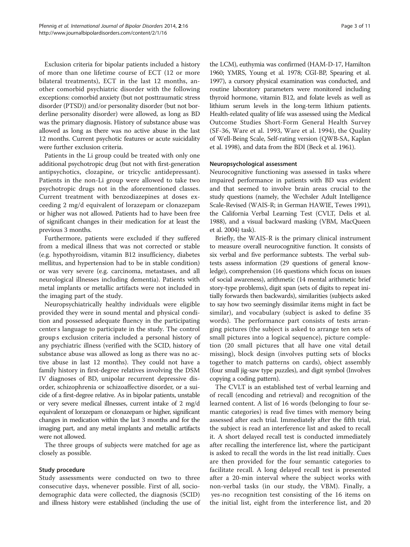Exclusion criteria for bipolar patients included a history of more than one lifetime course of ECT (12 or more bilateral treatments), ECT in the last 12 months, another comorbid psychiatric disorder with the following exceptions: comorbid anxiety (but not posttraumatic stress disorder (PTSD)) and/or personality disorder (but not borderline personality disorder) were allowed, as long as BD was the primary diagnosis. History of substance abuse was allowed as long as there was no active abuse in the last 12 months. Current psychotic features or acute suicidality were further exclusion criteria.

Patients in the Li group could be treated with only one additional psychotropic drug (but not with first-generation antipsychotics, clozapine, or tricyclic antidepressant). Patients in the non-Li group were allowed to take two psychotropic drugs not in the aforementioned classes. Current treatment with benzodiazepines at doses exceeding 2 mg/d equivalent of lorazepam or clonazepam or higher was not allowed. Patients had to have been free of significant changes in their medication for at least the previous 3 months.

Furthermore, patients were excluded if they suffered from a medical illness that was not corrected or stable (e.g. hypothyroidism, vitamin B12 insufficiency, diabetes mellitus, and hypertension had to be in stable condition) or was very severe (e.g. carcinoma, metastases, and all neurological illnesses including dementia). Patients with metal implants or metallic artifacts were not included in the imaging part of the study.

Neuropsychiatrically healthy individuals were eligible provided they were in sound mental and physical condition and possessed adequate fluency in the participating centers language to participate in the study. The control group s exclusion criteria included a personal history of any psychiatric illness (verified with the SCID, history of substance abuse was allowed as long as there was no active abuse in last 12 months). They could not have a family history in first-degree relatives involving the DSM IV diagnoses of BD, unipolar recurrent depressive disorder, schizophrenia or schizoaffective disorder, or a suicide of a first-degree relative. As in bipolar patients, unstable or very severe medical illnesses, current intake of 2 mg/d equivalent of lorazepam or clonazepam or higher, significant changes in medication within the last 3 months and for the imaging part, and any metal implants and metallic artifacts were not allowed.

The three groups of subjects were matched for age as closely as possible.

## Study procedure

Study assessments were conducted on two to three consecutive days, whenever possible. First of all, sociodemographic data were collected, the diagnosis (SCID) and illness history were established (including the use of

the LCM), euthymia was confirmed (HAM-D-17, Hamilton [1960;](#page-10-0) YMRS, Young et al. [1978;](#page-10-0) CGI-BP, Spearing et al. [1997\)](#page-10-0), a cursory physical examination was conducted, and routine laboratory parameters were monitored including thyroid hormone, vitamin B12, and folate levels as well as lithium serum levels in the long-term lithium patients. Health-related quality of life was assessed using the Medical Outcome Studies Short-Form General Health Survey (SF-36, Ware et al. [1993](#page-10-0), Ware et al. [1994\)](#page-10-0), the Quality of Well-Being Scale, Self-rating version (QWB-SA, Kaplan et al. [1998](#page-10-0)), and data from the BDI (Beck et al. [1961\)](#page-9-0).

## Neuropsychological assessment

Neurocognitive functioning was assessed in tasks where impaired performance in patients with BD was evident and that seemed to involve brain areas crucial to the study questions (namely, the Wechsler Adult Intelligence Scale-Revised (WAIS-R; in German HAWIE, Tewes [1991](#page-10-0)), the California Verbal Learning Test (CVLT, Delis et al. [1988\)](#page-9-0), and a visual backward masking (VBM, MacQueen et al. [2004\)](#page-10-0) task).

Briefly, the WAIS-R is the primary clinical instrument to measure overall neurocognitive function. It consists of six verbal and five performance subtests. The verbal subtests assess information (29 questions of general knowledge), comprehension (16 questions which focus on issues of social awareness), arithmetic (14 mental arithmetic brief story-type problems), digit span (sets of digits to repeat initially forwards then backwards), similarities (subjects asked to say how two seemingly dissimilar items might in fact be similar), and vocabulary (subject is asked to define 35 words). The performance part consists of tests arranging pictures (the subject is asked to arrange ten sets of small pictures into a logical sequence), picture completion (20 small pictures that all have one vital detail missing), block design (involves putting sets of blocks together to match patterns on cards), object assembly (four small jig-saw type puzzles), and digit symbol (Involves copying a coding pattern).

The CVLT is an established test of verbal learning and of recall (encoding and retrieval) and recognition of the learned content. A list of 16 words (belonging to four semantic categories) is read five times with memory being assessed after each trial. Immediately after the fifth trial, the subject is read an interference list and asked to recall it. A short delayed recall test is conducted immediately after recalling the interference list, where the participant is asked to recall the words in the list read initially. Cues are then provided for the four semantic categories to facilitate recall. A long delayed recall test is presented after a 20-min interval where the subject works with non-verbal tasks (in our study, the VBM). Finally, a yes-no recognition test consisting of the 16 items on the initial list, eight from the interference list, and 20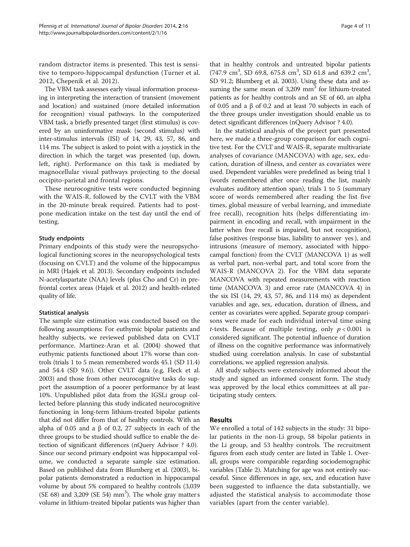random distractor items is presented. This test is sensitive to temporo-hippocampal dysfunction (Turner et al. [2012,](#page-10-0) Chepenik et al. [2012](#page-9-0)).

The VBM task assesses early visual information processing in interpreting the interaction of transient (movement and location) and sustained (more detailed information for recognition) visual pathways. In the computerized VBM task, a briefly presented target (first stimulus) is covered by an uninformative mask (second stimulus) with inter-stimulus intervals (ISI) of 14, 29, 43, 57, 86, and 114 ms. The subject is asked to point with a joystick in the direction in which the target was presented (up, down, left, right). Performance on this task is mediated by magnocellular visual pathways projecting to the dorsal occipito-parietal and frontal regions.

These neurocognitive tests were conducted beginning with the WAIS-R, followed by the CVLT with the VBM in the 20-minute break required. Patients had to postpone medication intake on the test day until the end of testing.

## Study endpoints

Primary endpoints of this study were the neuropsychological functioning scores in the neuropsychological tests (focusing on CVLT) and the volume of the hippocampus in MRI (Hajek et al. [2013\)](#page-10-0). Secondary endpoints included N-acetylaspartate (NAA) levels (plus Cho and Cr) in prefrontal cortex areas (Hajek et al. [2012\)](#page-10-0) and health-related quality of life.

## Statistical analysis

The sample size estimation was conducted based on the following assumptions: For euthymic bipolar patients and healthy subjects, we reviewed published data on CVLT performance. Martinez-Aran et al. [\(2004](#page-10-0)) showed that euthymic patients functioned about 17% worse than controls (trials 1 to 5 mean remembered words 45.1 (SD 11.4) and 54.4 (SD 9.6)). Other CVLT data (e.g. Fleck et al. [2003\)](#page-10-0) and those from other neurocognitive tasks do support the assumption of a poorer performance by at least 10%. Unpublished pilot data from the IGSLi group collected before planning this study indicated neurocognitive functioning in long-term lithium-treated bipolar patients that did not differ from that of healthy controls. With an alpha of 0.05 and a  $\beta$  of 0.2, 27 subjects in each of the three groups to be studied should suffice to enable the detection of significant differences (nQuery Advisor ? 4.0). Since our second primary endpoint was hippocampal volume, we conducted a separate sample size estimation. Based on published data from Blumberg et al. ([2003\)](#page-9-0), bipolar patients demonstrated a reduction in hippocampal volume by about 5% compared to healthy controls (3,039  $(SE 68)$  and  $3,209$   $(SE 54)$  mm<sup>3</sup>). The whole gray matters volume in lithium-treated bipolar patients was higher than

that in healthy controls and untreated bipolar patients (747.9 cm<sup>3</sup>, SD 69.8, 675.8 cm<sup>3</sup>, SD 61.8 and 639.2 cm<sup>3</sup>, SD 91.2; Blumberg et al. [2003](#page-9-0)). Using these data and assuming the same mean of  $3,209$  mm<sup>3</sup> for lithium-treated patients as for healthy controls and an SE of 60, an alpha of 0.05 and a β of 0.2 and at least 70 subjects in each of the three groups under investigation should enable us to detect significant differences (nQuery Advisor ? 4.0).

In the statistical analysis of the project part presented here, we made a three-group comparison for each cognitive test. For the CVLT and WAIS-R, separate multivariate analyses of covariance (MANCOVA) with age, sex, education, duration of illness, and center as covariates were used. Dependent variables were predefined as being trial 1 (words remembered after once reading the list, mainly evaluates auditory attention span), trials 1 to 5 (summary score of words remembered after reading the list five times, global measure of verbal learning, and immediate free recall), recognition hits (helps differentiating impairment in encoding and recall, with impairment in the latter when free recall is impaired, but not recognition), false positives (response bias, liability to answer yes), and intrusions (measure of memory, associated with hippocampal function) from the CVLT (MANCOVA 1) as well as verbal part, non-verbal part, and total score from the WAIS-R (MANCOVA 2). For the VBM data separate MANCOVA with repeated measurements with reaction time (MANCOVA 3) and error rate (MANCOVA 4) in the six ISI (14, 29, 43, 57, 86, and 114 ms) as dependent variables and age, sex, education, duration of illness, and center as covariates were applied. Separate group comparisons were made for each individual interval time using *t*-tests. Because of multiple testing, only  $p < 0.001$  is considered significant. The potential influence of duration of illness on the cognitive performance was informatively studied using correlation analysis. In case of substantial correlations, we applied regression analysis.

All study subjects were extensively informed about the study and signed an informed consent form. The study was approved by the local ethics committees at all participating study centers.

## Results

We enrolled a total of 142 subjects in the study: 31 bipolar patients in the non-Li group, 58 bipolar patients in the Li group, and 53 healthy controls. The recruitment figures from each study center are listed in Table [1](#page-4-0). Overall, groups were comparable regarding sociodemographic variables (Table [2\)](#page-4-0). Matching for age was not entirely successful. Since differences in age, sex, and education have been suggested to influence the data substantially, we adjusted the statistical analysis to accommodate those variables (apart from the center variable).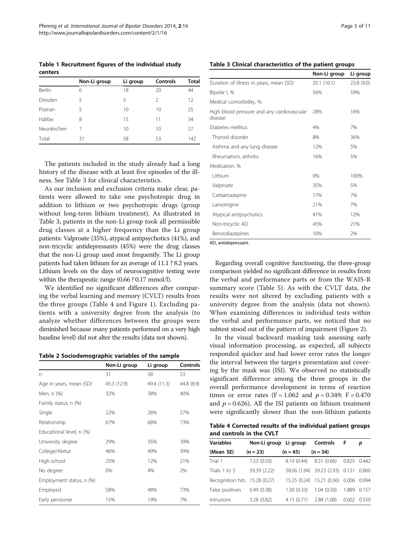<span id="page-4-0"></span>Table 1 Recruitment figures of the individual study centers

|               | Non-Li group | Li group | <b>Controls</b> | <b>Total</b> |
|---------------|--------------|----------|-----------------|--------------|
| <b>Berlin</b> | 6            | 18       | 20              | 44           |
| Dresden       | 5            | 5        | $\mathcal{P}$   | 12           |
| Poznan        | 5            | 10       | 10              | 25           |
| Halifax       | 8            | 15       | 11              | 34           |
| Neunkirchen   | 7            | 10       | 10              | 27           |
| Total         | 31           | 58       | 53              | 142          |

The patients included in the study already had a long history of the disease with at least five episodes of the illness. See Table 3 for clinical characteristics.

As our inclusion and exclusion criteria make clear, patients were allowed to take one psychotropic drug in addition to lithium or two psychotropic drugs (group without long-term lithium treatment). As illustrated in Table 3, patients in the non-Li group took all permissible drug classes at a higher frequency than the Li group patients: Valproate (35%), atypical antipsychotics (41%), and non-tricyclic antidepressants (45%) were the drug classes that the non-Li group used most frequently. The Li group patients had taken lithium for an average of 11.1 ? 8.2 years. Lithium levels on the days of neurocognitive testing were within the therapeutic range (0.66 ? 0.17 mmol/l).

We identified no significant differences after comparing the verbal learning and memory (CVLT) results from the three groups (Table 4 and Figure [1\)](#page-5-0). Excluding patients with a university degree from the analysis (to analyze whether differences between the groups were diminished because many patients performed on a very high baseline level) did not alter the results (data not shown).

Table 2 Sociodemographic variables of the sample

|                          | Non-Li group | Li group    | <b>Controls</b> |
|--------------------------|--------------|-------------|-----------------|
| n                        | 31           | 58          | 53              |
| Age in years, mean (SD)  | 45.3 (12.9)  | 49.4 (11.3) | 44.8 (8.9)      |
| Men, n (%)               | 32%          | 38%         | 40%             |
| Family status, n (%)     |              |             |                 |
| Single                   | 22%          | 26%         | 27%             |
| Relationship             | 67%          | 68%         | 73%             |
| Educational level, n (%) |              |             |                 |
| University degree        | 29%          | 35%         | 39%             |
| College/Abitur           | 46%          | 49%         | 39%             |
| High school              | 25%          | 12%         | 21%             |
| No degree                | 0%           | 4%          | 2%              |
| Employment status, n (%) |              |             |                 |
| Employed                 | 58%          | 48%         | 73%             |
| Early pensioner          | 15%          | 19%         | 7%              |

## Table 3 Clinical characteristics of the patient groups

|                                                       | Non-Li group | Li group  |
|-------------------------------------------------------|--------------|-----------|
| Duration of illness in years, mean (SD)               | 20.1 (10.1)  | 23.8(9.0) |
| Bipolar I, %                                          | 56%          | 59%       |
| Medical comorbidity, %                                |              |           |
| High blood pressure and any cardiovascular<br>disease | 28%          | 16%       |
| Diabetes mellitus                                     | 4%           | 7%        |
| Thyroid disorder                                      | 8%           | 36%       |
| Asthma and any lung disease                           | 12%          | 5%        |
| Rheumatism, arthritis                                 | 16%          | 5%        |
| Medication, %                                         |              |           |
| l ithium                                              | 0%           | 100%      |
| Valproate                                             | 35%          | 5%        |
| Carbamazepine                                         | 17%          | 7%        |
| Lamotrigine                                           | 21%          | 7%        |
| Atypical antipsychotics                               | 41%          | 12%       |
| Non-tricyclic AD                                      | 45%          | 21%       |
| Benzodiazepines                                       | 10%          | 2%        |

AD, antidepressant.

Regarding overall cognitive functioning, the three-group comparison yielded no significant difference in results from the verbal and performance parts or from the WAIS-R summary score (Table [5](#page-5-0)). As with the CVLT data, the results were not altered by excluding patients with a university degree from the analysis (data not shown). When examining differences in individual tests within the verbal and performance parts, we noticed that no subtest stood out of the pattern of impairment (Figure [2\)](#page-6-0).

In the visual backward masking task assessing early visual information processing, as expected, all subjects responded quicker and had lower error rates the longer the interval between the targets presentation and covering by the mask was (ISI). We observed no statistically significant difference among the three groups in the overall performance development in terms of reaction times or error rates (F = 1.062 and  $p = 0.349$ ; F = 0.470 and  $p = 0.626$ ). All the ISI patients on lithium treatment were significantly slower than the non-lithium patients

Table 4 Corrected results of the individual patient groups and controls in the CVLT

| <b>Variables</b>              | Non-Li group Li group |            | <b>Controls</b>                       | F     | р           |
|-------------------------------|-----------------------|------------|---------------------------------------|-------|-------------|
| (Mean SE)                     | $(n = 23)$            | $(n = 45)$ | $(n = 34)$                            |       |             |
| Trial 1                       | 7.53(0.50)            | 8.19(0.44) | 8.31(0.66)                            |       | 0.825 0.442 |
| Trials 1 to 5                 | 59.39 (2.22)          |            | 58.06 (1.94) 59.23 (2.93) 0.151       |       | 0.860       |
| Recognition hits 15.28 (0.27) |                       |            | 15.25 (0.24) 15.21 (0.36) 0.006 0.994 |       |             |
| False positives               | 0.49(0.38)            | 1.30(0.33) | 1.04(0.50)                            | 1.889 | 0.157       |
| Intrusions                    | 3.28(0.82)            | 4.15(0.71) | 2.88(1.08)                            | 0.602 | 0.550       |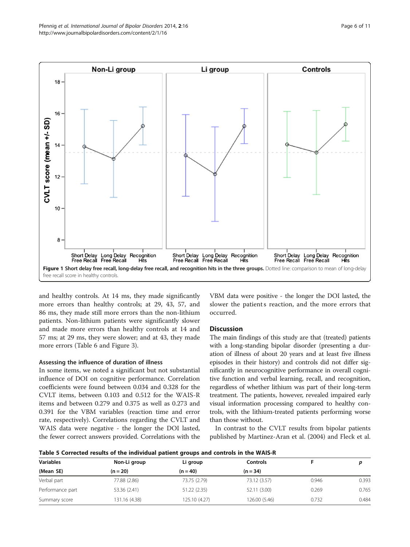<span id="page-5-0"></span>

and healthy controls. At 14 ms, they made significantly more errors than healthy controls; at 29, 43, 57, and 86 ms, they made still more errors than the non-lithium patients. Non-lithium patients were significantly slower and made more errors than healthy controls at 14 and 57 ms; at 29 ms, they were slower; and at 43, they made more errors (Table [6](#page-6-0) and Figure [3](#page-7-0)).

## Assessing the influence of duration of illness

In some items, we noted a significant but not substantial influence of DOI on cognitive performance. Correlation coefficients were found between 0.034 and 0.328 for the CVLT items, between 0.103 and 0.512 for the WAIS-R items and between 0.279 and 0.375 as well as 0.273 and 0.391 for the VBM variables (reaction time and error rate, respectively). Correlations regarding the CVLT and WAIS data were negative - the longer the DOI lasted, the fewer correct answers provided. Correlations with the

VBM data were positive - the longer the DOI lasted, the slower the patients reaction, and the more errors that occurred.

## **Discussion**

The main findings of this study are that (treated) patients with a long-standing bipolar disorder (presenting a duration of illness of about 20 years and at least five illness episodes in their history) and controls did not differ significantly in neurocognitive performance in overall cognitive function and verbal learning, recall, and recognition, regardless of whether lithium was part of their long-term treatment. The patients, however, revealed impaired early visual information processing compared to healthy controls, with the lithium-treated patients performing worse than those without.

In contrast to the CVLT results from bipolar patients published by Martinez-Aran et al. [\(2004\)](#page-10-0) and Fleck et al.

|  | Table 5 Corrected results of the individual patient groups and controls in the WAIS-R |
|--|---------------------------------------------------------------------------------------|
|--|---------------------------------------------------------------------------------------|

| Non-Li group  | Li group      | Controls      |       |       |  |  |
|---------------|---------------|---------------|-------|-------|--|--|
| $(n = 20)$    | $(n = 40)$    | $(n = 34)$    |       |       |  |  |
| 77.88 (2.86)  | 73.75 (2.79)  | 73.12 (3.57)  | 0.946 | 0.393 |  |  |
| 53.36 (2.41)  | 51.22 (2.35)  | 52.11 (3.00)  | 0.269 | 0.765 |  |  |
| 131.16 (4.38) | 125.10 (4.27) | 126.00 (5.46) | 0.732 | 0.484 |  |  |
|               |               |               |       |       |  |  |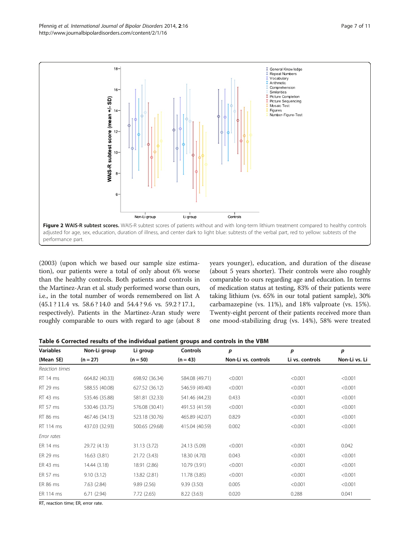<span id="page-6-0"></span>

([2003](#page-10-0)) (upon which we based our sample size estimation), our patients were a total of only about 6% worse than the healthy controls. Both patients and controls in the Martinez-Aran et al. study performed worse than ours, i.e., in the total number of words remembered on list A (45.1 ? 11.4 vs. 58.6 ? 14.0 and 54.4 ? 9.6 vs. 59.2 ? 17.1, respectively). Patients in the Martinez-Aran study were roughly comparable to ours with regard to age (about 8 years younger), education, and duration of the disease (about 5 years shorter). Their controls were also roughly comparable to ours regarding age and education. In terms of medication status at testing, 83% of their patients were taking lithium (vs. 65% in our total patient sample), 30% carbamazepine (vs. 11%), and 18% valproate (vs. 15%). Twenty-eight percent of their patients received more than one mood-stabilizing drug (vs. 14%), 58% were treated

| Table 6 Corrected results of the individual patient groups and controls in the VBM |  |  |
|------------------------------------------------------------------------------------|--|--|
|------------------------------------------------------------------------------------|--|--|

| <b>Variables</b> | Non-Li group   | Li group       | <b>Controls</b> | p                   | p               | p             |
|------------------|----------------|----------------|-----------------|---------------------|-----------------|---------------|
| (Mean SE)        | $(n = 27)$     | $(n = 50)$     | $(n = 43)$      | Non-Li vs. controls | Li vs. controls | Non-Li vs. Li |
| Reaction times   |                |                |                 |                     |                 |               |
| RT 14 ms         | 664.82 (40.33) | 698.92 (36.34) | 584.08 (49.71)  | < 0.001             | < 0.001         | < 0.001       |
| RT 29 ms         | 588.55 (40.08) | 627.52 (36.12) | 546.59 (49.40)  | < 0.001             | < 0.001         | < 0.001       |
| RT 43 ms         | 535.46 (35.88) | 581.81 (32.33) | 541.46 (44.23)  | 0.433               | < 0.001         | < 0.001       |
| RT 57 ms         | 530.46 (33.75) | 576.08 (30.41) | 491.53 (41.59)  | < 0.001             | < 0.001         | < 0.001       |
| RT 86 ms         | 467.46 (34.13) | 523.18 (30.76) | 465.89 (42.07)  | 0.829               | < 0.001         | < 0.001       |
| RT 114 ms        | 437.03 (32.93) | 500.65 (29.68) | 415.04 (40.59)  | 0.002               | < 0.001         | < 0.001       |
| Error rates      |                |                |                 |                     |                 |               |
| ER 14 ms         | 29.72 (4.13)   | 31.13 (3.72)   | 24.13 (5.09)    | < 0.001             | < 0.001         | 0.042         |
| ER 29 ms         | 16.63 (3.81)   | 21.72 (3.43)   | 18.30 (4.70)    | 0.043               | < 0.001         | < 0.001       |
| ER 43 ms         | 14.44 (3.18)   | 18.91 (2.86)   | 10.79 (3.91)    | < 0.001             | < 0.001         | < 0.001       |
| ER 57 ms         | 9.10(3.12)     | 13.82 (2.81)   | 11.78 (3.85)    | < 0.001             | < 0.001         | < 0.001       |
| ER 86 ms         | 7.63(2.84)     | 9.89(2.56)     | 9.39(3.50)      | 0.005               | < 0.001         | < 0.001       |
| ER 114 ms        | 6.71(2.94)     | 7.72(2.65)     | 8.22(3.63)      | 0.020               | 0.288           | 0.041         |

RT, reaction time; ER, error rate.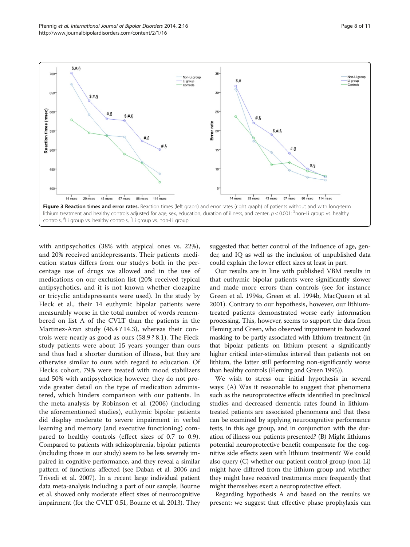<span id="page-7-0"></span>

with antipsychotics (38% with atypical ones vs. 22%), and 20% received antidepressants. Their patients medication status differs from our study s both in the percentage use of drugs we allowed and in the use of medications on our exclusion list (20% received typical antipsychotics, and it is not known whether clozapine or tricyclic antidepressants were used). In the study by Fleck et al., their 14 euthymic bipolar patients were measurably worse in the total number of words remembered on list A of the CVLT than the patients in the Martinez-Aran study (46.4 ? 14.3), whereas their controls were nearly as good as ours (58.9 ? 8.1). The Fleck study patients were about 15 years younger than ours and thus had a shorter duration of illness, but they are otherwise similar to ours with regard to education. Of Fleck s cohort, 79% were treated with mood stabilizers and 50% with antipsychotics; however, they do not provide greater detail on the type of medication administered, which hinders comparison with our patients. In the meta-analysis by Robinson et al. ([2006\)](#page-10-0) (including the aforementioned studies), euthymic bipolar patients did display moderate to severe impairment in verbal learning and memory (and executive functioning) compared to healthy controls (effect sizes of 0.7 to 0.9). Compared to patients with schizophrenia, bipolar patients (including those in our study) seem to be less severely impaired in cognitive performance, and they reveal a similar pattern of functions affected (see Daban et al. [2006](#page-9-0) and Trivedi et al. [2007](#page-10-0)). In a recent large individual patient data meta-analysis including a part of our sample, Bourne et al. showed only moderate effect sizes of neurocognitive impairment (for the CVLT 0.51, Bourne et al. [2013](#page-9-0)). They

suggested that better control of the influence of age, gender, and IQ as well as the inclusion of unpublished data could explain the lower effect sizes at least in part.

Our results are in line with published VBM results in that euthymic bipolar patients were significantly slower and made more errors than controls (see for instance Green et al. [1994a](#page-10-0), Green et al. [1994b](#page-10-0), MacQueen et al. [2001](#page-10-0)). Contrary to our hypothesis, however, our lithiumtreated patients demonstrated worse early information processing. This, however, seems to support the data from Fleming and Green, who observed impairment in backward masking to be partly associated with lithium treatment (in that bipolar patients on lithium present a significantly higher critical inter-stimulus interval than patients not on lithium, the latter still performing non-significantly worse than healthy controls (Fleming and Green [1995\)](#page-10-0)).

We wish to stress our initial hypothesis in several ways: (A) Was it reasonable to suggest that phenomena such as the neuroprotective effects identified in preclinical studies and decreased dementia rates found in lithiumtreated patients are associated phenomena and that these can be examined by applying neurocognitive performance tests, in this age group, and in conjunction with the duration of illness our patients presented? (B) Might lithiums potential neuroprotective benefit compensate for the cognitive side effects seen with lithium treatment? We could also query (C) whether our patient control group (non-Li) might have differed from the lithium group and whether they might have received treatments more frequently that might themselves exert a neuroprotective effect.

Regarding hypothesis A and based on the results we present: we suggest that effective phase prophylaxis can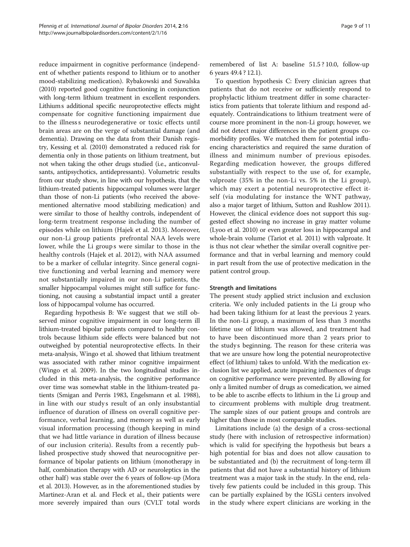reduce impairment in cognitive performance (independent of whether patients respond to lithium or to another mood-stabilizing medication). Rybakowski and Suwalska ([2010\)](#page-10-0) reported good cognitive functioning in conjunction with long-term lithium treatment in excellent responders. Lithiums additional specific neuroprotective effects might compensate for cognitive functioning impairment due to the illnesss neurodegenerative or toxic effects until brain areas are on the verge of substantial damage (and dementia). Drawing on the data from their Danish registry, Kessing et al. ([2010\)](#page-10-0) demonstrated a reduced risk for dementia only in those patients on lithium treatment, but not when taking the other drugs studied (i.e., anticonvulsants, antipsychotics, antidepressants). Volumetric results from our study show, in line with our hypothesis, that the lithium-treated patients hippocampal volumes were larger than those of non-Li patients (who received the abovementioned alternative mood stabilizing medication) and were similar to those of healthy controls, independent of long-term treatment response including the number of episodes while on lithium (Hajek et al. [2013\)](#page-10-0). Moreover, our non-Li group patients prefrontal NAA levels were lower, while the Li group s were similar to those in the healthy controls (Hajek et al. [2012](#page-10-0)), with NAA assumed to be a marker of cellular integrity. Since general cognitive functioning and verbal learning and memory were not substantially impaired in our non-Li patients, the smaller hippocampal volumes might still suffice for functioning, not causing a substantial impact until a greater loss of hippocampal volume has occurred.

Regarding hypothesis B: We suggest that we still observed minor cognitive impairment in our long-term ill lithium-treated bipolar patients compared to healthy controls because lithium side effects were balanced but not outweighed by potential neuroprotective effects. In their meta-analysis, Wingo et al. showed that lithium treatment was associated with rather minor cognitive impairment (Wingo et al. [2009\)](#page-10-0). In the two longitudinal studies included in this meta-analysis, the cognitive performance over time was somewhat stable in the lithium-treated patients (Smigan and Perris [1983,](#page-10-0) Engelsmann et al. [1988](#page-9-0)), in line with our study s result of an only insubstantial influence of duration of illness on overall cognitive performance, verbal learning, and memory as well as early visual information processing (though keeping in mind that we had little variance in duration of illness because of our inclusion criteria). Results from a recently published prospective study showed that neurocognitive performance of bipolar patients on lithium (monotherapy in half, combination therapy with AD or neuroleptics in the other half) was stable over the 6 years of follow-up (Mora et al. [2013](#page-10-0)). However, as in the aforementioned studies by Martinez-Aran et al. and Fleck et al., their patients were more severely impaired than ours (CVLT total words

remembered of list A: baseline 51.5 ? 10.0, follow-up 6 years 49.4 ? 12.1).

To question hypothesis C: Every clinician agrees that patients that do not receive or sufficiently respond to prophylactic lithium treatment differ in some characteristics from patients that tolerate lithium and respond adequately. Contraindications to lithium treatment were of course more prominent in the non-Li group; however, we did not detect major differences in the patient groups comorbidity profiles. We matched them for potential influencing characteristics and required the same duration of illness and minimum number of previous episodes. Regarding medication however, the groups differed substantially with respect to the use of, for example, valproate (35% in the non-Li vs. 5% in the Li group), which may exert a potential neuroprotective effect itself (via modulating for instance the WNT pathway, also a major target of lithium, Sutton and Rushlow [2011](#page-10-0)). However, the clinical evidence does not support this suggested effect showing no increase in gray matter volume (Lyoo et al. [2010\)](#page-10-0) or even greater loss in hippocampal and whole-brain volume (Tariot et al. [2011](#page-10-0)) with valproate. It is thus not clear whether the similar overall cognitive performance and that in verbal learning and memory could in part result from the use of protective medication in the patient control group.

## Strength and limitations

The present study applied strict inclusion and exclusion criteria. We only included patients in the Li group who had been taking lithium for at least the previous 2 years. In the non-Li group, a maximum of less than 3 months lifetime use of lithium was allowed, and treatment had to have been discontinued more than 2 years prior to the study s beginning. The reason for these criteria was that we are unsure how long the potential neuroprotective effect (of lithium) takes to unfold. With the medication exclusion list we applied, acute impairing influences of drugs on cognitive performance were prevented. By allowing for only a limited number of drugs as comedication, we aimed to be able to ascribe effects to lithium in the Li group and to circumvent problems with multiple drug treatment. The sample sizes of our patient groups and controls are higher than those in most comparable studies.

Limitations include (a) the design of a cross-sectional study (here with inclusion of retrospective information) which is valid for specifying the hypothesis but bears a high potential for bias and does not allow causation to be substantiated and (b) the recruitment of long-term ill patients that did not have a substantial history of lithium treatment was a major task in the study. In the end, relatively few patients could be included in this group. This can be partially explained by the IGSLi centers involved in the study where expert clinicians are working in the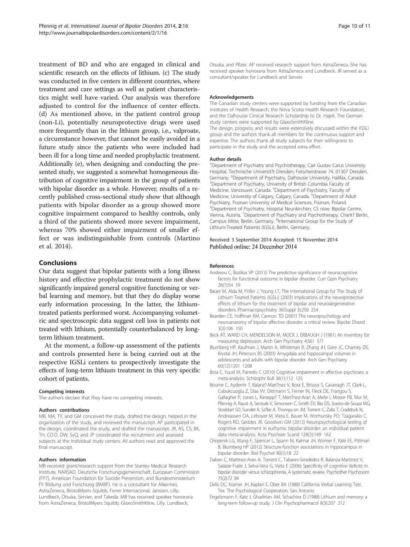<span id="page-9-0"></span>treatment of BD and who are engaged in clinical and scientific research on the effects of lithium. (c) The study was conducted in five centers in different countries, where treatment and care settings as well as patient characteristics might well have varied. Our analysis was therefore adjusted to control for the influence of center effects. (d) As mentioned above, in the patient control group (non-Li), potentially neuroprotective drugs were used more frequently than in the lithium group, i.e., valproate, a circumstance however, that cannot be easily avoided in a future study since the patients who were included had been ill for a long time and needed prophylactic treatment. Additionally (e), when designing and conducting the presented study, we suggested a somewhat homogeneous distribution of cognitive impairment in the group of patients with bipolar disorder as a whole. However, results of a recently published cross-sectional study show that although patients with bipolar disorder as a group showed more cognitive impairment compared to healthy controls, only a third of the patients showed more severe impairment, whereas 70% showed either impairment of smaller effect or was indistinguishable from controls (Martino et al. [2014\)](#page-10-0).

## Conclusions

Our data suggest that bipolar patients with a long illness history and effective prophylactic treatment do not show significantly impaired general cognitive functioning or verbal learning and memory, but that they do display worse early information processing. In the latter, the lithiumtreated patients performed worst. Accompanying volumetric and spectroscopic data suggest cell loss in patients not treated with lithium, potentially counterbalanced by longterm lithium treatment.

At the moment, a follow-up assessment of the patients and controls presented here is being carried out at the respective IGSLi centers to prospectively investigate the effects of long-term lithium treatment in this very specific cohort of patients.

## Competing interests

The authors declare that they have no competing interests.

#### Authors contributions

MB, MA, TY, and GM conceived the study, drafted the design, helped in the organization of the study, and reviewed the manuscript. AP participated in the design, coordinated the study, and drafted the manuscript. JR, AS, CS, BK, TH, CO D, DW, SvQ, and JP coordinated the recruitment and assessed subjects at the individual study centers. All authors read and approved the final manuscript.

#### Authors information

MB received grant/research support from the Stanley Medical Research Institute, NARSAD, Deutsche Forschungsgemeinschaft, European Commission (FP7), American Foundation for Suicide Prevention, and Bundesministerium f?r Bildung und Forschung (BMBF). He is a consultant for Alkermes, AstraZeneca, BristolMyers Squibb, Ferrer Internacional, Janssen, Lilly, Lundbeck, Otsuka, Servier, and Takeda. MB has received speaker honoraria from AstraZeneca, BristolMyers Squibb, GlaxoSmithKline, Lilly, Lundbeck,

Otsuka, and Pfizer. AP received research support from AstraZeneca. She has received speaker honoraria from AstraZeneca and Lundbeck. JR served as a consultant/speaker for Lundbeck and Servier.

#### Acknowledgements

The Canadian study centers were supported by funding from the Canadian Institutes of Health Research, the Nova Scotia Health Research Foundation, and the Dalhousie Clinical Research Scholarship to Dr. Hajek. The German study centers were supported by GlaxoSmithKline.

The design, progress, and results were extensively discussed within the IGSLi group and the authors thank all members for the continuous support and expertise. The authors thank all study subjects for their willingness to participate in the study and the accepted extra effort.

#### Author details

<sup>1</sup>Department of Psychiatry and Psychotherapy, Carl Gustav Carus University Hospital, Technische Universit?t Dresden, Fetscherstrasse 74, 01307 Dresden, Germany. <sup>2</sup>Department of Psychiatry, Dalhousie University, Halifax, Canada.<br><sup>3</sup>Department of Psychiatry, University of British Columbia Faculty of <sup>3</sup>Department of Psychiatry, University of British Columbia Faculty of Medicine, Vancouver, Canada. <sup>4</sup> Department of Psychiatry, Faculty of Medicine, University of Calgary, Calgary, Canada. <sup>5</sup>Department of Adult Psychiatry, Poznan University of Medical Sciences, Poznan, Poland. 6 Department of Psychiatry, Hospital Neunkirchen, CS now: Bipolar Centre, Vienna, Austria. <sup>7</sup>Department of Psychiatry and Psychotherapy, Charit? Berlin, Campus Mitte, Berlin, Germany. <sup>8</sup>International Group for the Study of Lithium-Treated Patients (IGSLi), Berlin, Germany.

#### Received: 3 September 2014 Accepted: 15 November 2014 Published online: 24 December 2014

#### References

- Andreou C, Bozikas VP (2013) The predictive significance of neurocognitive factors for functional outcome in bipolar disorder. Curr Opin Psychiatry 26(1):54 59
- Bauer M, Alda M, Priller J, Young LT, The International Group for The Study of Lithium Treated Patients (IGSLi) (2003) Implications of the neuroprotective effects of lithium for the treatment of bipolar and neurodegenerative disorders. Pharmacopsychiatry 36(Suppl 3):250 254
- Bearden CE, Hoffman KM, Cannon TD (2001) The neuropsychology and neuroanatomy of bipolar affective disorder: a critical review. Bipolar Disord 3(3):106 150
- Beck AT, WARD CH, MENDELSON M, MOCK J, ERBAUGH J (1961) An inventory for measuring depression. Arch Gen Psychiatry 4:561 571
- Blumberg HP, Kaufman J, Martin A, Whiteman R, Zhang JH, Gore JC, Charney DS, Krystal JH, Peterson BS (2003) Amygdala and hippocampal volumes in adolescents and adults with bipolar disorder. Arch Gen Psychiatry 60(12):1201 1208
- Bora E, Yucel M, Pantelis C (2010) Cognitive impairment in affective psychoses: a meta-analysis. Schizophr Bull 36(1):112 125
- Bourne C, Aydemir ?, Balanz?-Mart?nez V, Bora E, Brissos S, Cavanagh JT, Clark L, Cubukcuoglu Z, Dias VV, Dittmann S, Ferrier IN, Fleck DE, Frangou S, Gallagher P, Jones L, Kiesepp? T, Mart?nez-Aran A, Melle I, Moore PB, Mur M, Pfennig A, Raust A, Senturk V, Simonsen C, Smith DJ, Bio DS, Soeiro-de-Souza MG, Stoddart SD, Sundet K, Sz?ke A, Thomps on JM, Torrent C, Zalla T, Craddock N, Andreassen OA, Leboyer M, Vieta E, Bauer M, Worhunsky PD, Tzagarakis C, Rogers RD, Geddes JR, Goodwin GM (2013) Neuropsychological testing of cognitive impairment in euthymic bipolar disorder: an individual patient data meta-analysis. Acta Psychiatr Scand 128(3):149 162
- Chepenik LG, Wang F, Spencer L, Spann M, Kalmar JH, Womer F, Kale EE, Pittman B, Blumberg HP (2012) Structure-function associations in hippocampus in bipolar disorder. Biol Psychol 90(1):18 22
- Daban C, Martinez-Aran A, Torrent C, Tabares-Seisdedos R, Balanza-Martinez V, Salazar-Fraile J, Selva-Vera G, Vieta E (2006) Specificity of cognitive deficits in bipolar disorder versus schizophrenia. A systematic review. Psychother Psychosom 75(2):72 84
- Delis DC, Kramer JH, Kaplan E, Ober BA (1988) California Verbal Learning Test. Tex. The Psychological Cooperation, San Antonio
- Engelsmann F, Katz J, Ghadirian AM, Schachter D (1988) Lithium and memory: a long-term follow-up study. J Clin Psychopharmacol 8(3):207 212